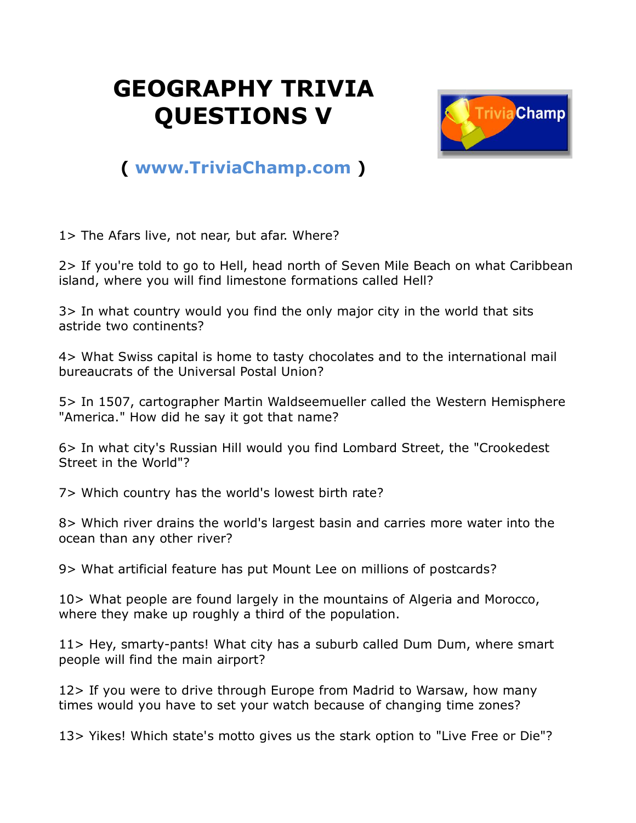## **GEOGRAPHY TRIVIA QUESTIONS V**



## **( [www.TriviaChamp.com](http://www.triviachamp.com/) )**

1> The Afars live, not near, but afar. Where?

2> If you're told to go to Hell, head north of Seven Mile Beach on what Caribbean island, where you will find limestone formations called Hell?

3> In what country would you find the only major city in the world that sits astride two continents?

4> What Swiss capital is home to tasty chocolates and to the international mail bureaucrats of the Universal Postal Union?

5> In 1507, cartographer Martin Waldseemueller called the Western Hemisphere "America." How did he say it got that name?

6> In what city's Russian Hill would you find Lombard Street, the "Crookedest Street in the World"?

7> Which country has the world's lowest birth rate?

8> Which river drains the world's largest basin and carries more water into the ocean than any other river?

9> What artificial feature has put Mount Lee on millions of postcards?

10> What people are found largely in the mountains of Algeria and Morocco, where they make up roughly a third of the population.

11> Hey, smarty-pants! What city has a suburb called Dum Dum, where smart people will find the main airport?

12> If you were to drive through Europe from Madrid to Warsaw, how many times would you have to set your watch because of changing time zones?

13> Yikes! Which state's motto gives us the stark option to "Live Free or Die"?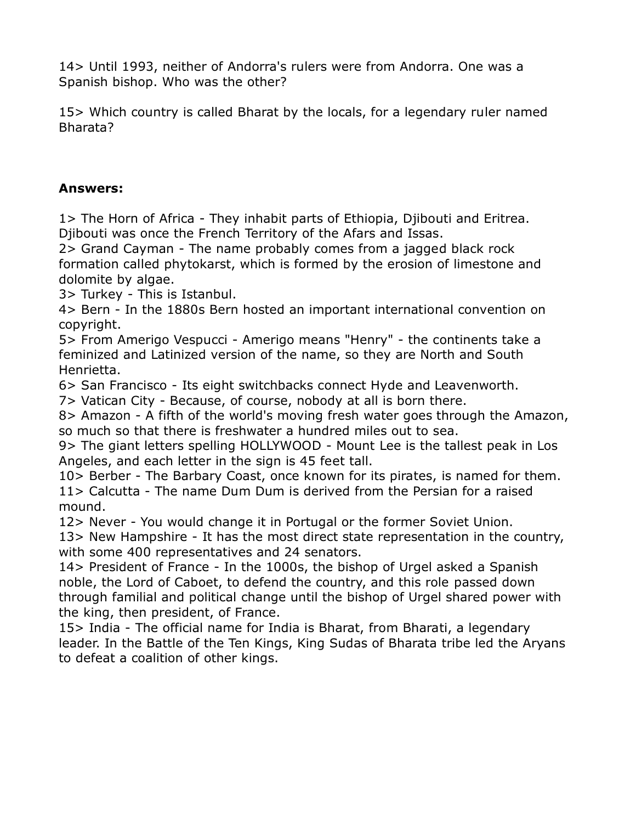14> Until 1993, neither of Andorra's rulers were from Andorra. One was a Spanish bishop. Who was the other?

15> Which country is called Bharat by the locals, for a legendary ruler named Bharata?

## **Answers:**

1> The Horn of Africa - They inhabit parts of Ethiopia, Djibouti and Eritrea. Djibouti was once the French Territory of the Afars and Issas.

2> Grand Cayman - The name probably comes from a jagged black rock formation called phytokarst, which is formed by the erosion of limestone and dolomite by algae.

3> Turkey - This is Istanbul.

4> Bern - In the 1880s Bern hosted an important international convention on copyright.

5> From Amerigo Vespucci - Amerigo means "Henry" - the continents take a feminized and Latinized version of the name, so they are North and South Henrietta.

6> San Francisco - Its eight switchbacks connect Hyde and Leavenworth.

7> Vatican City - Because, of course, nobody at all is born there.

8> Amazon - A fifth of the world's moving fresh water goes through the Amazon, so much so that there is freshwater a hundred miles out to sea.

9> The giant letters spelling HOLLYWOOD - Mount Lee is the tallest peak in Los Angeles, and each letter in the sign is 45 feet tall.

10> Berber - The Barbary Coast, once known for its pirates, is named for them. 11> Calcutta - The name Dum Dum is derived from the Persian for a raised mound.

12> Never - You would change it in Portugal or the former Soviet Union.

13> New Hampshire - It has the most direct state representation in the country, with some 400 representatives and 24 senators.

14> President of France - In the 1000s, the bishop of Urgel asked a Spanish noble, the Lord of Caboet, to defend the country, and this role passed down through familial and political change until the bishop of Urgel shared power with the king, then president, of France.

15> India - The official name for India is Bharat, from Bharati, a legendary leader. In the Battle of the Ten Kings, King Sudas of Bharata tribe led the Aryans to defeat a coalition of other kings.